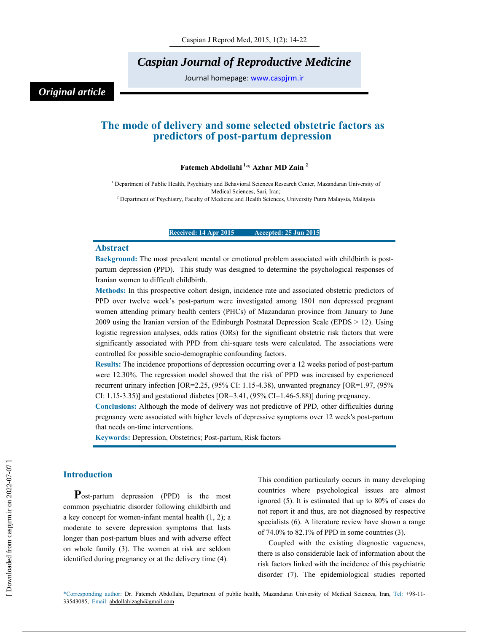*Caspian Journal of Reproductive Medicine* 

Journal homepage: www.caspjrm.ir

# *Original article*

## **The mode of delivery and some selected obstetric factors as predictors of post-partum depression**

## **Fatemeh Abdollahi 1,\* Azhar MD Zain 2**

<sup>1</sup> Department of Public Health, Psychiatry and Behavioral Sciences Research Center, Mazandaran University of Medical Sciences, Sari, Iran;<br><sup>2</sup> Department of Psychiatry, Faculty of Medicine and Health Sciences, University Putra Malaysia, Malaysia

**Received: 14 Apr 2015 Accepted: 25 Jun 2015**

#### **Abstract**

**Background:** The most prevalent mental or emotional problem associated with childbirth is postpartum depression (PPD). This study was designed to determine the psychological responses of Iranian women to difficult childbirth.

**Methods:** In this prospective cohort design, incidence rate and associated obstetric predictors of PPD over twelve week's post-partum were investigated among 1801 non depressed pregnant women attending primary health centers (PHCs) of Mazandaran province from January to June 2009 using the Iranian version of the Edinburgh Postnatal Depression Scale (EPDS > 12). Using logistic regression analyses, odds ratios (ORs) for the significant obstetric risk factors that were significantly associated with PPD from chi-square tests were calculated. The associations were controlled for possible socio-demographic confounding factors.

**Results:** The incidence proportions of depression occurring over a 12 weeks period of post-partum were 12.30%. The regression model showed that the risk of PPD was increased by experienced recurrent urinary infection [OR=2.25, (95% CI: 1.15-4.38), unwanted pregnancy [OR=1.97, (95% CI: 1.15-3.35)] and gestational diabetes  $[OR=3.41, (95\% CI=1.46-5.88)]$  during pregnancy.

**Conclusions:** Although the mode of delivery was not predictive of PPD, other difficulties during pregnancy were associated with higher levels of depressive symptoms over 12 week's post-partum that needs on-time interventions.

**Keywords:** Depression, Obstetrics; Post-partum, Risk factors

## **Introduction**

**P**ost-partum depression (PPD) is the most common psychiatric disorder following childbirth and a key concept for women-infant mental health (1, 2); a moderate to severe depression symptoms that lasts longer than post-partum blues and with adverse effect on whole family (3). The women at risk are seldom identified during pregnancy or at the delivery time (4).

This condition particularly occurs in many developing countries where psychological issues are almost ignored (5). It is estimated that up to 80% of cases do not report it and thus, are not diagnosed by respective specialists (6). A literature review have shown a range of 74.0% to 82.1% of PPD in some countries (3).

Coupled with the existing diagnostic vagueness, there is also considerable lack of information about the risk factors linked with the incidence of this psychiatric disorder (7). The epidemiological studies reported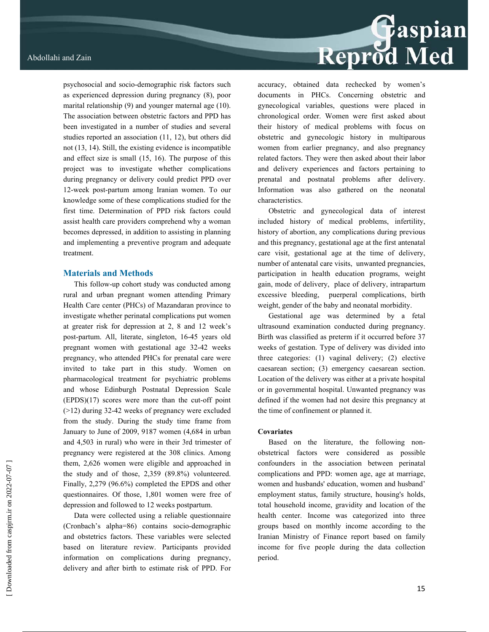psychosocial and socio-demographic risk factors such as experienced depression during pregnancy (8), poor marital relationship (9) and younger maternal age (10). The association between obstetric factors and PPD has been investigated in a number of studies and several studies reported an association (11, 12), but others did not (13, 14). Still, the existing evidence is incompatible and effect size is small (15, 16). The purpose of this project was to investigate whether complications during pregnancy or delivery could predict PPD over 12-week post-partum among Iranian women. To our knowledge some of these complications studied for the first time. Determination of PPD risk factors could assist health care providers comprehend why a woman becomes depressed, in addition to assisting in planning and implementing a preventive program and adequate treatment.

#### **Materials and Methods**

This follow-up cohort study was conducted among rural and urban pregnant women attending Primary Health Care center (PHCs) of Mazandaran province to investigate whether perinatal complications put women at greater risk for depression at 2, 8 and 12 week's post-partum. All, literate, singleton, 16-45 years old pregnant women with gestational age 32-42 weeks pregnancy, who attended PHCs for prenatal care were invited to take part in this study. Women on pharmacological treatment for psychiatric problems and whose Edinburgh Postnatal Depression Scale (EPDS)(17) scores were more than the cut-off point (>12) during 32-42 weeks of pregnancy were excluded from the study. During the study time frame from January to June of 2009, 9187 women (4,684 in urban and 4,503 in rural) who were in their 3rd trimester of pregnancy were registered at the 308 clinics. Among them, 2,626 women were eligible and approached in the study and of those, 2,359 (89.8%) volunteered. Finally, 2,279 (96.6%) completed the EPDS and other questionnaires. Of those, 1,801 women were free of depression and followed to 12 weeks postpartum.

Data were collected using a reliable questionnaire (Cronbach's alpha=86) contains socio-demographic and obstetrics factors. These variables were selected based on literature review. Participants provided information on complications during pregnancy, delivery and after birth to estimate risk of PPD. For



accuracy, obtained data rechecked by women's documents in PHCs. Concerning obstetric and gynecological variables, questions were placed in chronological order. Women were first asked about their history of medical problems with focus on obstetric and gynecologic history in multiparous women from earlier pregnancy, and also pregnancy related factors. They were then asked about their labor and delivery experiences and factors pertaining to prenatal and postnatal problems after delivery. Information was also gathered on the neonatal characteristics.

Obstetric and gynecological data of interest included history of medical problems, infertility, history of abortion, any complications during previous and this pregnancy, gestational age at the first antenatal care visit, gestational age at the time of delivery, number of antenatal care visits, unwanted pregnancies, participation in health education programs, weight gain, mode of delivery, place of delivery, intrapartum excessive bleeding, puerperal complications, birth weight, gender of the baby and neonatal morbidity.

Gestational age was determined by a fetal ultrasound examination conducted during pregnancy. Birth was classified as preterm if it occurred before 37 weeks of gestation. Type of delivery was divided into three categories: (1) vaginal delivery; (2) elective caesarean section; (3) emergency caesarean section. Location of the delivery was either at a private hospital or in governmental hospital. Unwanted pregnancy was defined if the women had not desire this pregnancy at the time of confinement or planned it.

#### **Covariates**

Based on the literature, the following nonobstetrical factors were considered as possible confounders in the association between perinatal complications and PPD: women age, age at marriage, women and husbands' education, women and husband' employment status, family structure, housing's holds, total household income, gravidity and location of the health center. Income was categorized into three groups based on monthly income according to the Iranian Ministry of Finance report based on family income for five people during the data collection period.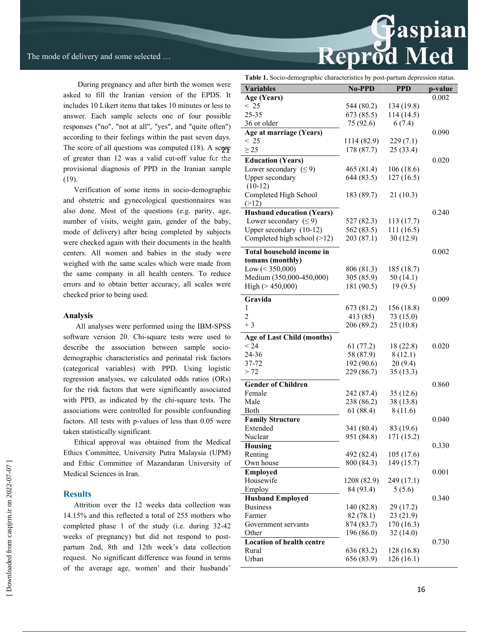During pregnancy and after birth the women were asked to fill the Iranian version of the EPDS. It includes 10 Likert items that takes 10 minutes or less to answer. Each sample selects one of four possible responses ("no", "not at all", "yes", and "quite often") according to their feelings within the past seven days. The score of all questions was computed  $(18)$ . A score of greater than 12 was a valid cut-off value for the provisional diagnosis of PPD in the Iranian sample (19).

Verification of some items in socio-demographic and obstetric and gynecological questionnaires was also done. Most of the questions (e.g. parity, age, number of visits, weight gain, gender of the baby, mode of delivery) after being completed by subjects were checked again with their documents in the health centers. All women and babies in the study were weighed with the same scales which were made from the same company in all health centers. To reduce errors and to obtain better accuracy, all scales were checked prior to being used.

#### **Analysis**

 All analyses were performed using the IBM-SPSS software version 20. Chi-square tests were used to describe the association between sample sociodemographic characteristics and perinatal risk factors (categorical variables) with PPD. Using logistic regression analyses, we calculated odds ratios (ORs) for the risk factors that were significantly associated with PPD, as indicated by the chi-square tests. The associations were controlled for possible confounding factors. All tests with p-values of less than 0.05 were taken statistically significant.

Ethical approval was obtained from the Medical Ethics Committee, University Putra Malaysia (UPM) and Ethic Committee of Mazandaran University of Medical Sciences in Iran.

#### **Results**

Attrition over the 12 weeks data collection was 14.15% and this reflected a total of 255 mothers who completed phase 1 of the study (i.e. during 32-42 weeks of pregnancy) but did not respond to postpartum 2nd, 8th and 12th week's data collection request. No significant difference was found in terms of the average age, women' and their husbands'

|                                                                                                  |                          |                         | țaspian |
|--------------------------------------------------------------------------------------------------|--------------------------|-------------------------|---------|
|                                                                                                  |                          |                         |         |
|                                                                                                  | <b>Reprod Med</b>        |                         |         |
|                                                                                                  |                          |                         |         |
| Table 1. Socio-demographic characteristics by post-partum depression status.<br><b>Variables</b> | No-PPD                   | <b>PPD</b>              | p-value |
| Age (Years)                                                                                      |                          |                         | 0.002   |
| < 25                                                                                             | 544 (80.2)               | 134 (19.8)              |         |
| 25-35                                                                                            | 673 (85.5)               | 114(14.5)               |         |
| 36 or older                                                                                      | 75 (92.6)                | 6(7.4)                  |         |
| Age at marriage (Years)                                                                          |                          |                         | 0.090   |
| < 25                                                                                             | 1114 (82.9)              | 229(7.1)                |         |
| $\geq$ 25                                                                                        | 178 (87.7)               | 25(33.4)                |         |
| <b>Education (Years)</b>                                                                         |                          |                         | 0.020   |
| Lower secondary $( \leq 9)$<br>Upper secondary                                                   | 465 (81.4)<br>644(83.5)  | 106(18.6)<br>127(16.5)  |         |
| $(10-12)$                                                                                        |                          |                         |         |
| Completed High School                                                                            | 183 (89.7)               | 21(10.3)                |         |
| (>12)                                                                                            |                          |                         |         |
| <b>Husband education (Years)</b>                                                                 |                          |                         | 0.240   |
| Lower secondary $( \leq 9)$                                                                      | 527 (82.3)               | 113 (17.7)              |         |
| Upper secondary (10-12)                                                                          | 562 (83.5)               | 111(16.5)               |         |
| Completed high school (>12)                                                                      | 203 (87.1)               | 30(12.9)                |         |
| <b>Total household income in</b>                                                                 |                          |                         | 0.002   |
| tomans (monthly)                                                                                 |                          |                         |         |
| Low $(< 350,000)$                                                                                | 806 (81.3)               | 185 (18.7)              |         |
| Medium (350,000-450,000)                                                                         | 305 (85.9)               | 50(14.1)                |         |
| High ( $> 450,000$ )                                                                             | 181 (90.5)               | 19(9.5)                 |         |
| Gravida                                                                                          |                          |                         | 0.009   |
| 1                                                                                                | 673 (81.2)               | 156 (18.8)              |         |
| 2                                                                                                | 413 (85)                 | 73(15.0)                |         |
| $+3$                                                                                             | 206 (89.2)               | 25(10.8)                |         |
| Age of Last Child (months)                                                                       |                          |                         |         |
| < 24                                                                                             | 61(77.2)                 | 18 (22.8)               | 0.020   |
| 24-36                                                                                            | 58 (87.9)                | 8(12.1)                 |         |
| 37-72                                                                                            | 192 (90.6)               | 20(9.4)                 |         |
| > 72                                                                                             | 229 (86.7)               | 35(13.3)                |         |
| <b>Gender of Children</b>                                                                        |                          |                         | 0.860   |
| Female                                                                                           | 242 (87.4)               | 35(12.6)                |         |
| Male                                                                                             | 238 (86.2)               | 38 (13.8)               |         |
| Both                                                                                             | 61(88.4)                 | 8(11.6)                 |         |
| <b>Family Structure</b>                                                                          |                          |                         | 0.040   |
| Extended                                                                                         | 341 (80.4)               | 83 (19.6)               |         |
| Nuclear                                                                                          | 951 (84.8)               | 171 (15.2)              |         |
| <b>Housing</b><br>Renting                                                                        | 492 (82.4)               | 105(17.6)               | 0.330   |
| Own house                                                                                        | 800 (84.3)               | 149 (15.7)              |         |
| <b>Employed</b>                                                                                  |                          |                         | 0.001   |
| Housewife                                                                                        | 1208 (82.9)              | 249 (17.1)              |         |
| Employ                                                                                           | 84 (93.4)                | 5(5.6)                  |         |
| <b>Husband Employed</b>                                                                          |                          |                         | 0.340   |
| <b>Business</b>                                                                                  | 140 (82.8)               | 29(17.2)                |         |
| Farmer                                                                                           | 82(78.1)                 | 23(21.9)                |         |
| Government servants                                                                              | 874 (83.7)               | 170 (16.3)              |         |
| Other                                                                                            | 196 (86.0)               | 32(14.0)                |         |
| <b>Location of health centre</b>                                                                 |                          |                         | 0.730   |
| Rural<br>Urban                                                                                   | 636 (83.2)<br>656 (83.9) | 128 (16.8)<br>126(16.1) |         |
|                                                                                                  |                          |                         |         |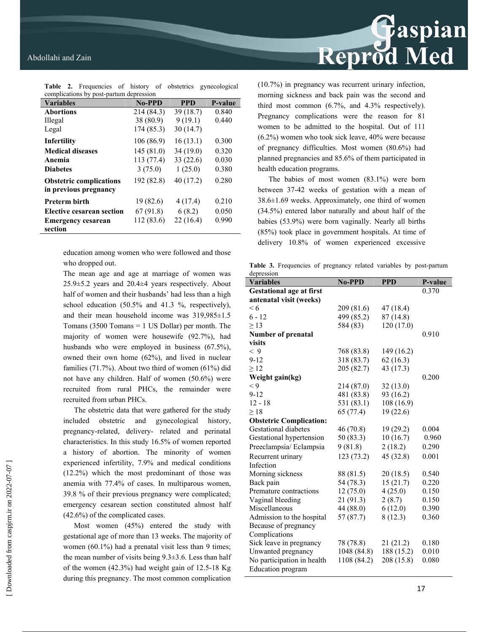| <b>Table 2.</b> Frequencies of history of obstetrics gynecological |               |            |                |  |
|--------------------------------------------------------------------|---------------|------------|----------------|--|
| complications by post-partum depression                            |               |            |                |  |
| <b>Variables</b>                                                   | <b>No-PPD</b> | <b>PPD</b> | <b>P-value</b> |  |
| <b>Abortions</b>                                                   | 214 (84.3)    | 39(18.7)   | 0.840          |  |
| Illegal                                                            | 38 (80.9)     | 9(19.1)    | 0.440          |  |
| Legal                                                              | 174 (85.3)    | 30(14.7)   |                |  |
| Infertility                                                        | 106(86.9)     | 16(13.1)   | 0.300          |  |
| <b>Medical diseases</b>                                            | 145(81.0)     | 34(19.0)   | 0.320          |  |
| Anemia                                                             | 113 (77.4)    | 33(22.6)   | 0.030          |  |
| <b>Diabetes</b>                                                    | 3(75.0)       | 1(25.0)    | 0.380          |  |
| <b>Obstetric complications</b>                                     | 192 (82.8)    | 40(17.2)   | 0.280          |  |
| in previous pregnancy                                              |               |            |                |  |
| <b>Preterm birth</b>                                               | 19 (82.6)     | 4(17.4)    | 0.210          |  |
| Elective cesarean section                                          | 67 (91.8)     | 6(8.2)     | 0.050          |  |
| <b>Emergency cesarean</b>                                          | 112 (83.6)    | 22(16.4)   | 0.990          |  |
| section                                                            |               |            |                |  |

**Table 2.** Frequencies of history of obstetrics gynecological

education among women who were followed and those who dropped out.

The mean age and age at marriage of women was 25.9±5.2 years and 20.4±4 years respectively. About half of women and their husbands' had less than a high school education (50.5% and 41.3 %, respectively), and their mean household income was 319,985±1.5 Tomans (3500 Tomans = 1 US Dollar) per month. The majority of women were housewife (92.7%), had husbands who were employed in business (67.5%), owned their own home (62%), and lived in nuclear families (71.7%). About two third of women (61%) did not have any children. Half of women (50.6%) were recruited from rural PHCs, the remainder were recruited from urban PHCs.

The obstetric data that were gathered for the study included obstetric and gynecological history, pregnancy-related, delivery- related and perinatal characteristics. In this study 16.5% of women reported a history of abortion. The minority of women experienced infertility, 7.9% and medical conditions (12.2%) which the most predominant of those was anemia with 77.4% of cases. In multiparous women, 39.8 % of their previous pregnancy were complicated; emergency cesarean section constituted almost half (42.6%) of the complicated cases.

Most women (45%) entered the study with gestational age of more than 13 weeks. The majority of women (60.1%) had a prenatal visit less than 9 times; the mean number of visits being  $9.3 \pm 3.6$ . Less than half of the women (42.3%) had weight gain of 12.5-18 Kg during this pregnancy. The most common complication Reprod Med

(10.7%) in pregnancy was recurrent urinary infection, morning sickness and back pain was the second and third most common (6.7%, and 4.3% respectively). Pregnancy complications were the reason for 81 women to be admitted to the hospital. Out of 111 (6.2%) women who took sick leave, 40% were because of pregnancy difficulties. Most women (80.6%) had planned pregnancies and 85.6% of them participated in health education programs.

The babies of most women (83.1%) were born between 37-42 weeks of gestation with a mean of  $38.6\pm1.69$  weeks. Approximately, one third of women (34.5%) entered labor naturally and about half of the babies (53.9%) were born vaginally. Nearly all births (85%) took place in government hospitals. At time of delivery 10.8% of women experienced excessive

Table 3. Frequencies of pregnancy related variables by post-partum depression

| **********<br><b>Variables</b>  | No-PPD      | <b>PPD</b> | P-value |
|---------------------------------|-------------|------------|---------|
| <b>Gestational age at first</b> |             |            | 0.370   |
| antenatal visit (weeks)         |             |            |         |
| < 6                             | 209 (81.6)  | 47 (18.4)  |         |
| 6 - 12                          | 499 (85.2)  | 87(14.8)   |         |
| $\geq$ 13                       | 584 (83)    | 120 (17.0) |         |
| <b>Number of prenatal</b>       |             |            | 0.910   |
| visits                          |             |            |         |
| < 9                             | 768 (83.8)  | 149 (16.2) |         |
| $9 - 12$                        | 318 (83.7)  | 62(16.3)   |         |
| $\geq 12$                       | 205 (82.7)  | 43 (17.3)  |         |
| Weight gain(kg)                 |             |            | 0.200   |
| $\lt 9$                         | 214 (87.0)  | 32(13.0)   |         |
| $9 - 12$                        | 481 (83.8)  | 93 (16.2)  |         |
| $12 - 18$                       | 531 (83.1)  | 108 (16.9) |         |
| $\geq$ 18                       | 65(77.4)    | 19(22.6)   |         |
| <b>Obstetric Complication:</b>  |             |            |         |
| Gestational diabetes            | 46 (70.8)   | 19 (29.2)  | 0.004   |
| Gestational hypertension        | 50 (83.3)   | 10(16.7)   | 0.960   |
| Preeclampsia/Eclampsia          | 9(81.8)     | 2(18.2)    | 0.290   |
| Recurrent urinary               | 123(73.2)   | 45 (32.8)  | 0.001   |
| Infection                       |             |            |         |
| Morning sickness                | 88 (81.5)   | 20(18.5)   | 0.540   |
| Back pain                       | 54 (78.3)   | 15(21.7)   | 0.220   |
| Premature contractions          | 12(75.0)    | 4(25.0)    | 0.150   |
| Vaginal bleeding                | 21 (91.3)   | 2(8.7)     | 0.150   |
| Miscellaneous                   | 44 (88.0)   | 6(12.0)    | 0.390   |
| Admission to the hospital       | 57(87.7)    | 8(12.3)    | 0.360   |
| Because of pregnancy            |             |            |         |
| Complications                   |             |            |         |
| Sick leave in pregnancy         | 78 (78.8)   | 21(21.2)   | 0.180   |
| Unwanted pregnancy              | 1048 (84.8) | 188 (15.2) | 0.010   |
| No participation in health      | 1108 (84.2) | 208 (15.8) | 0.080   |
| <b>Education</b> program        |             |            |         |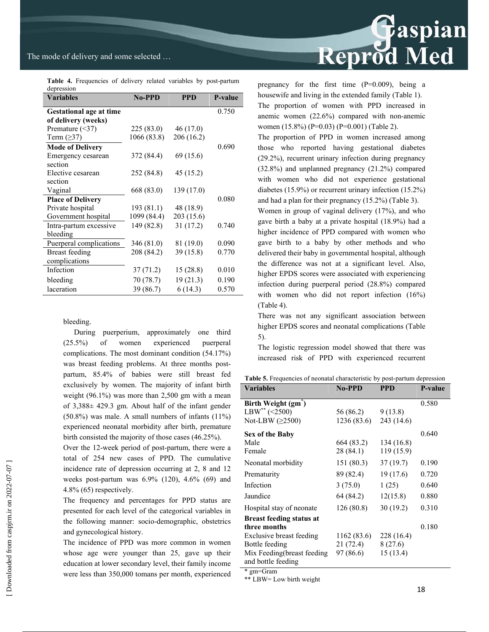## The mode of delivery and some selected …

**Table 4.** Frequencies of delivery related variables by post-partum depression

| <b>Variables</b>               | <b>No-PPD</b> | <b>PPD</b> | <b>P-value</b> |
|--------------------------------|---------------|------------|----------------|
| <b>Gestational age at time</b> |               |            | 0.750          |
| of delivery (weeks)            |               |            |                |
| Premature $(\leq 37)$          | 225(83.0)     | 46(17.0)   |                |
| Term $(\geq)37)$               | 1066 (83.8)   | 206 (16.2) |                |
| <b>Mode of Delivery</b>        |               |            | 0.690          |
| Emergency cesarean             | 372 (84.4)    | 69 (15.6)  |                |
| section                        |               |            |                |
| Elective cesarean              | 252 (84.8)    | 45 (15.2)  |                |
| section                        |               |            |                |
| Vaginal                        | 668 (83.0)    | 139 (17.0) |                |
| <b>Place of Delivery</b>       |               |            | 0.080          |
| Private hospital               | 193 (81.1)    | 48 (18.9)  |                |
| Government hospital            | 1099 (84.4)   | 203 (15.6) |                |
| Intra-partum excessive         | 149 (82.8)    | 31(17.2)   | 0.740          |
| bleeding                       |               |            |                |
| Puerperal complications        | 346 (81.0)    | 81 (19.0)  | 0.090          |
| <b>Breast</b> feeding          | 208 (84.2)    | 39 (15.8)  | 0.770          |
| complications                  |               |            |                |
| Infection                      | 37(71.2)      | 15 (28.8)  | 0.010          |
| bleeding                       | 70 (78.7)     | 19(21.3)   | 0.190          |
| laceration                     | 39 (86.7)     | 6(14.3)    | 0.570          |

bleeding.

During puerperium, approximately one third (25.5%) of women experienced puerperal complications. The most dominant condition (54.17%) was breast feeding problems. At three months postpartum, 85.4% of babies were still breast fed exclusively by women. The majority of infant birth weight (96.1%) was more than 2,500 gm with a mean of 3,388± 429.3 gm. About half of the infant gender (50.8%) was male. A small numbers of infants (11%) experienced neonatal morbidity after birth, premature birth consisted the majority of those cases (46.25%).

Over the 12-week period of post-partum, there were a total of 254 new cases of PPD. The cumulative incidence rate of depression occurring at 2, 8 and 12 weeks post-partum was 6.9% (120), 4.6% (69) and 4.8% (65) respectively.

The frequency and percentages for PPD status are presented for each level of the categorical variables in the following manner: socio-demographic, obstetrics and gynecological history.

The incidence of PPD was more common in women whose age were younger than 25, gave up their education at lower secondary level, their family income were less than 350,000 tomans per month, experienced



pregnancy for the first time (P=0.009), being a housewife and living in the extended family (Table 1). The proportion of women with PPD increased in anemic women (22.6%) compared with non-anemic women (15.8%) (P=0.03) (P=0.001) (Table 2).

The proportion of PPD in women increased among those who reported having gestational diabetes (29.2%), recurrent urinary infection during pregnancy (32.8%) and unplanned pregnancy (21.2%) compared with women who did not experience gestational diabetes (15.9%) or recurrent urinary infection (15.2%) and had a plan for their pregnancy (15.2%) (Table 3).

Women in group of vaginal delivery (17%), and who gave birth a baby at a private hospital (18.9%) had a higher incidence of PPD compared with women who gave birth to a baby by other methods and who delivered their baby in governmental hospital, although the difference was not at a significant level. Also, higher EPDS scores were associated with experiencing infection during puerperal period (28.8%) compared with women who did not report infection  $(16%)$ (Table 4).

There was not any significant association between higher EPDS scores and neonatal complications (Table 5).

The logistic regression model showed that there was increased risk of PPD with experienced recurrent

Table 5. Frequencies of neonatal characteristic by post-partum depression

| <b>Variables</b>                                   | <b>No-PPD</b> | <b>PPD</b> | <b>P-value</b> |
|----------------------------------------------------|---------------|------------|----------------|
| Birth Weight (gm <sup>*</sup> )                    |               |            | 0.580          |
| $LBW^{**}$ (<2500)                                 | 56 (86.2)     | 9(13.8)    |                |
| Not-LBW $(\geq 2500)$                              | 1236 (83.6)   | 243 (14.6) |                |
| Sex of the Baby                                    |               |            | 0.640          |
| Male                                               | 664 (83.2)    | 134 (16.8) |                |
| Female                                             | 28 (84.1)     | 119 (15.9) |                |
| Neonatal morbidity                                 | 151(80.3)     | 37(19.7)   | 0.190          |
| Prematurity                                        | 89 (82.4)     | 19(17.6)   | 0.720          |
| Infection                                          | 3(75.0)       | 1(25)      | 0.640          |
| Jaundice                                           | 64 (84.2)     | 12(15.8)   | 0.880          |
| Hospital stay of neonate                           | 126(80.8)     | 30(19.2)   | 0.310          |
| <b>Breast feeding status at</b>                    |               |            |                |
| three months                                       |               |            | 0.180          |
| Exclusive breast feeding                           | 1162 (83.6)   | 228 (16.4) |                |
| Bottle feeding                                     | 21 (72.4)     | 8(27.6)    |                |
| Mix Feeding (breast feeding)<br>and bottle feeding | 97 (86.6)     | 15(13.4)   |                |

\* gm=Gram

\*\* LBW= Low birth weight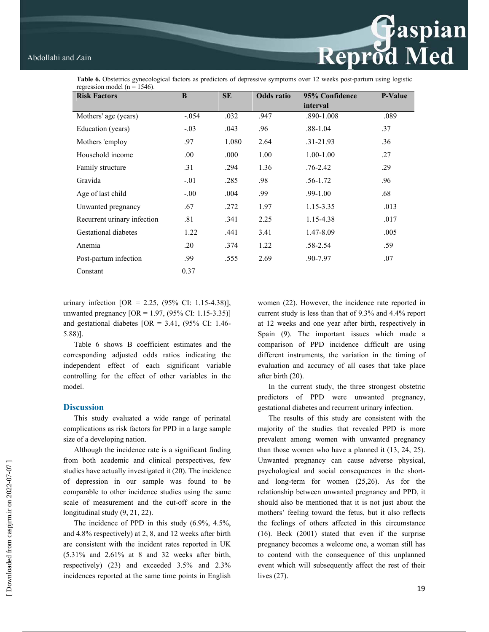**Example 18**<br>Reprod Med

**Table 6.** Obstetrics gynecological factors as predictors of depressive symptoms over 12 weeks post-partum using logistic regression model ( $n = 1546$ ).

| <b>Risk Factors</b>         | B       | <b>SE</b> | <b>Odds</b> ratio | 95% Confidence | <b>P-Value</b> |
|-----------------------------|---------|-----------|-------------------|----------------|----------------|
|                             |         |           |                   | interval       |                |
| Mothers' age (years)        | $-.054$ | .032      | .947              | .890-1.008     | .089           |
| Education (years)           | $-.03$  | .043      | .96               | $.88 - 1.04$   | .37            |
| Mothers 'employ             | .97     | 1.080     | 2.64              | $.31 - 21.93$  | .36            |
| Household income            | .00.    | .000      | 1.00              | $1.00 - 1.00$  | .27            |
| Family structure            | .31     | .294      | 1.36              | $.76 - 2.42$   | .29            |
| Gravida                     | $-.01$  | .285      | .98               | $.56 - 1.72$   | .96            |
| Age of last child           | $-0.00$ | .004      | .99               | $.99 - 1.00$   | .68            |
| Unwanted pregnancy          | .67     | .272      | 1.97              | 1.15-3.35      | .013           |
| Recurrent urinary infection | .81     | .341      | 2.25              | 1.15-4.38      | .017           |
| Gestational diabetes        | 1.22    | .441      | 3.41              | 1.47-8.09      | .005           |
| Anemia                      | .20     | .374      | 1.22              | .58-2.54       | .59            |
| Post-partum infection       | .99     | .555      | 2.69              | .90-7.97       | .07            |
| Constant                    | 0.37    |           |                   |                |                |

urinary infection  $[OR = 2.25, (95\% \text{ CI: } 1.15-4.38)],$ unwanted pregnancy  $[OR = 1.97, (95\% \text{ CI: } 1.15-3.35)]$ and gestational diabetes  $[OR = 3.41, (95\% \text{ CI: } 1.46-$ 5.88)].

Table 6 shows B coefficient estimates and the corresponding adjusted odds ratios indicating the independent effect of each significant variable controlling for the effect of other variables in the model.

### **Discussion**

This study evaluated a wide range of perinatal complications as risk factors for PPD in a large sample size of a developing nation.

Although the incidence rate is a significant finding from both academic and clinical perspectives, few studies have actually investigated it (20). The incidence of depression in our sample was found to be comparable to other incidence studies using the same scale of measurement and the cut-off score in the longitudinal study (9, 21, 22).

The incidence of PPD in this study (6.9%, 4.5%, and 4.8% respectively) at 2, 8, and 12 weeks after birth are consistent with the incident rates reported in UK (5.31% and 2.61% at 8 and 32 weeks after birth, respectively) (23) and exceeded 3.5% and 2.3% incidences reported at the same time points in English women (22). However, the incidence rate reported in current study is less than that of 9.3% and 4.4% report at 12 weeks and one year after birth, respectively in Spain (9). The important issues which made a comparison of PPD incidence difficult are using different instruments, the variation in the timing of evaluation and accuracy of all cases that take place after birth (20).

In the current study, the three strongest obstetric predictors of PPD were unwanted pregnancy, gestational diabetes and recurrent urinary infection.

The results of this study are consistent with the majority of the studies that revealed PPD is more prevalent among women with unwanted pregnancy than those women who have a planned it (13, 24, 25). Unwanted pregnancy can cause adverse physical, psychological and social consequences in the shortand long-term for women (25,26). As for the relationship between unwanted pregnancy and PPD, it should also be mentioned that it is not just about the mothers' feeling toward the fetus, but it also reflects the feelings of others affected in this circumstance (16). Beck (2001) stated that even if the surprise pregnancy becomes a welcome one, a woman still has to contend with the consequence of this unplanned event which will subsequently affect the rest of their lives (27).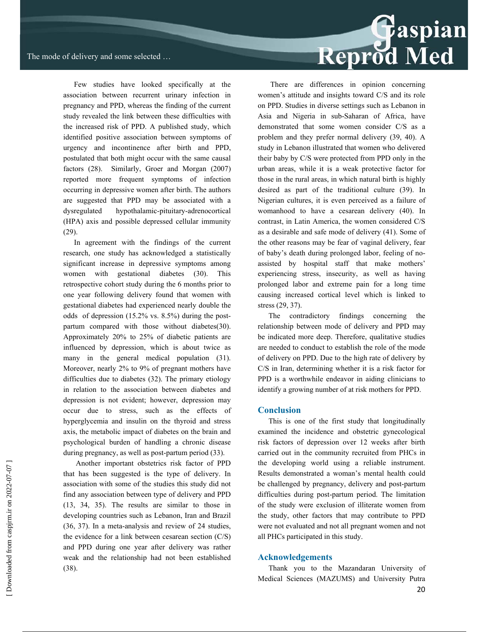Few studies have looked specifically at the association between recurrent urinary infection in pregnancy and PPD, whereas the finding of the current study revealed the link between these difficulties with the increased risk of PPD. A published study, which identified positive association between symptoms of urgency and incontinence after birth and PPD, postulated that both might occur with the same causal factors (28). Similarly, Groer and Morgan (2007) reported more frequent symptoms of infection occurring in depressive women after birth. The authors are suggested that PPD may be associated with a dysregulated hypothalamic-pituitary-adrenocortical (HPA) axis and possible depressed cellular immunity (29).

In agreement with the findings of the current research, one study has acknowledged a statistically significant increase in depressive symptoms among women with gestational diabetes (30). This retrospective cohort study during the 6 months prior to one year following delivery found that women with gestational diabetes had experienced nearly double the odds of depression (15.2% vs. 8.5%) during the postpartum compared with those without diabetes(30). Approximately 20% to 25% of diabetic patients are influenced by depression, which is about twice as many in the general medical population (31). Moreover, nearly 2% to 9% of pregnant mothers have difficulties due to diabetes (32). The primary etiology in relation to the association between diabetes and depression is not evident; however, depression may occur due to stress, such as the effects of hyperglycemia and insulin on the thyroid and stress axis, the metabolic impact of diabetes on the brain and psychological burden of handling a chronic disease during pregnancy, as well as post-partum period (33).

 Another important obstetrics risk factor of PPD that has been suggested is the type of delivery. In association with some of the studies this study did not find any association between type of delivery and PPD (13, 34, 35). The results are similar to those in developing countries such as Lebanon, Iran and Brazil (36, 37). In a meta-analysis and review of 24 studies, the evidence for a link between cesarean section (C/S) and PPD during one year after delivery was rather weak and the relationship had not been established (38).

 There are differences in opinion concerning women's attitude and insights toward C/S and its role on PPD. Studies in diverse settings such as Lebanon in Asia and Nigeria in sub-Saharan of Africa, have demonstrated that some women consider C/S as a problem and they prefer normal delivery (39, 40). A study in Lebanon illustrated that women who delivered their baby by C/S were protected from PPD only in the urban areas, while it is a weak protective factor for those in the rural areas, in which natural birth is highly desired as part of the traditional culture (39). In Nigerian cultures, it is even perceived as a failure of womanhood to have a cesarean delivery (40). In contrast, in Latin America, the women considered C/S as a desirable and safe mode of delivery (41). Some of the other reasons may be fear of vaginal delivery, fear of baby's death during prolonged labor, feeling of noassisted by hospital staff that make mothers' experiencing stress, insecurity, as well as having prolonged labor and extreme pain for a long time causing increased cortical level which is linked to stress (29, 37).

The contradictory findings concerning the relationship between mode of delivery and PPD may be indicated more deep. Therefore, qualitative studies are needed to conduct to establish the role of the mode of delivery on PPD. Due to the high rate of delivery by C/S in Iran, determining whether it is a risk factor for PPD is a worthwhile endeavor in aiding clinicians to identify a growing number of at risk mothers for PPD.

#### **Conclusion**

This is one of the first study that longitudinally examined the incidence and obstetric gynecological risk factors of depression over 12 weeks after birth carried out in the community recruited from PHCs in the developing world using a reliable instrument. Results demonstrated a woman's mental health could be challenged by pregnancy, delivery and post-partum difficulties during post-partum period. The limitation of the study were exclusion of illiterate women from the study, other factors that may contribute to PPD were not evaluated and not all pregnant women and not all PHCs participated in this study.

#### **Acknowledgements**

Thank you to the Mazandaran University of Medical Sciences (MAZUMS) and University Putra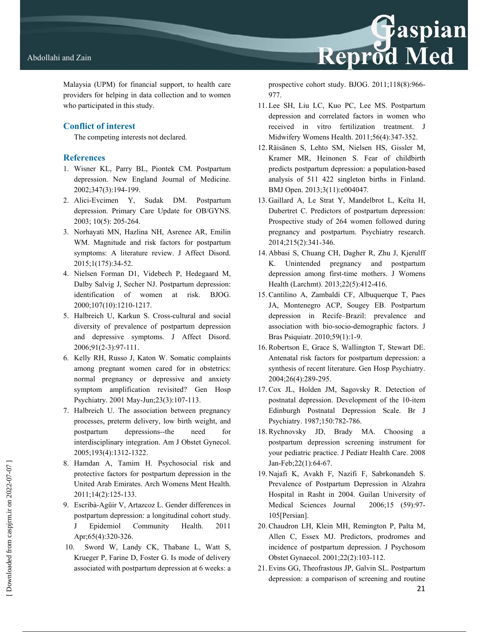Malaysia (UPM) for financial support, to health care providers for helping in data collection and to women who participated in this study.

## **Conflict of interest**

The competing interests not declared.

## **References**

- 1. Wisner KL, Parry BL, Piontek CM. Postpartum depression. New England Journal of Medicine. 2002;347(3):194-199.
- 2. Alici-Evcimen Y, Sudak DM. Postpartum depression. Primary Care Update for OB/GYNS. 2003; 10(5): 205-264.
- 3. Norhayati MN, Hazlina NH, Asrenee AR, Emilin WM. Magnitude and risk factors for postpartum symptoms: A literature review. J Affect Disord. 2015;1(175):34-52.
- 4. Nielsen Forman D1, Videbech P, Hedegaard M, Dalby Salvig J, Secher NJ. Postpartum depression: identification of women at risk. BJOG. 2000;107(10):1210-1217.
- 5. Halbreich U, Karkun S. Cross-cultural and social diversity of prevalence of postpartum depression and depressive symptoms. J Affect Disord. 2006;91(2-3):97-111.
- 6. Kelly RH, Russo J, Katon W. Somatic complaints among pregnant women cared for in obstetrics: normal pregnancy or depressive and anxiety symptom amplification revisited? Gen Hosp Psychiatry. 2001 May-Jun;23(3):107-113.
- 7. Halbreich U. The association between pregnancy processes, preterm delivery, low birth weight, and postpartum depressions--the need for interdisciplinary integration. Am J Obstet Gynecol. 2005;193(4):1312-1322.
- 8. Hamdan A, Tamim H. Psychosocial risk and protective factors for postpartum depression in the United Arab Emirates. Arch Womens Ment Health. 2011;14(2):125-133.
- 9. Escribà-Agüir V, Artazcoz L. Gender differences in postpartum depression: a longitudinal cohort study. J Epidemiol Community Health. 2011 Apr;65(4):320-326.
- 10. Sword W, Landy CK, Thabane L, Watt S, Krueger P, Farine D, Foster G. Is mode of delivery associated with postpartum depression at 6 weeks: a

prospective cohort study. BJOG. 2011;118(8):966- 977.

Reprod Med

- 11. Lee SH, Liu LC, Kuo PC, Lee MS. Postpartum depression and correlated factors in women who received in vitro fertilization treatment. J Midwifery Womens Health. 2011;56(4):347-352.
- 12. Räisänen S, Lehto SM, Nielsen HS, Gissler M, Kramer MR, Heinonen S. Fear of childbirth predicts postpartum depression: a population-based analysis of 511 422 singleton births in Finland. BMJ Open. 2013;3(11):e004047.
- 13. Gaillard A, Le Strat Y, Mandelbrot L, Keïta H, Dubertret C. Predictors of postpartum depression: Prospective study of 264 women followed during pregnancy and postpartum. Psychiatry research. 2014;215(2):341-346.
- 14. Abbasi S, Chuang CH, Dagher R, Zhu J, Kjerulff K. Unintended pregnancy and postpartum depression among first-time mothers. J Womens Health (Larchmt). 2013;22(5):412-416.
- 15. Cantilino A, Zambaldi CF, Albuquerque T, Paes JA, Montenegro ACP, Sougey EB. Postpartum depression in Recife–Brazil: prevalence and association with bio-socio-demographic factors. J Bras Psiquiatr. 2010;59(1):1-9.
- 16. Robertson E, Grace S, Wallington T, Stewart DE. Antenatal risk factors for postpartum depression: a synthesis of recent literature. Gen Hosp Psychiatry. 2004;26(4):289-295.
- 17. Cox JL, Holden JM, Sagovsky R. Detection of postnatal depression. Development of the 10-item Edinburgh Postnatal Depression Scale. Br J Psychiatry. 1987;150:782-786.
- 18. Rychnovsky JD, Brady MA. Choosing a postpartum depression screening instrument for your pediatric practice. J Pediatr Health Care. 2008 Jan-Feb;22(1):64-67.
- 19. Najafi K, Avakh F, Nazifi F, Sabrkonandeh S. Prevalence of Postpartum Depression in Alzahra Hospital in Rasht in 2004. Guilan University of Medical Sciences Journal 2006;15 (59):97- 105[Persian].
- 20. Chaudron LH, Klein MH, Remington P, Palta M, Allen C, Essex MJ. Predictors, prodromes and incidence of postpartum depression. J Psychosom Obstet Gynaecol. 2001;22(2):103-112.
- 21. Evins GG, Theofrastous JP, Galvin SL. Postpartum depression: a comparison of screening and routine